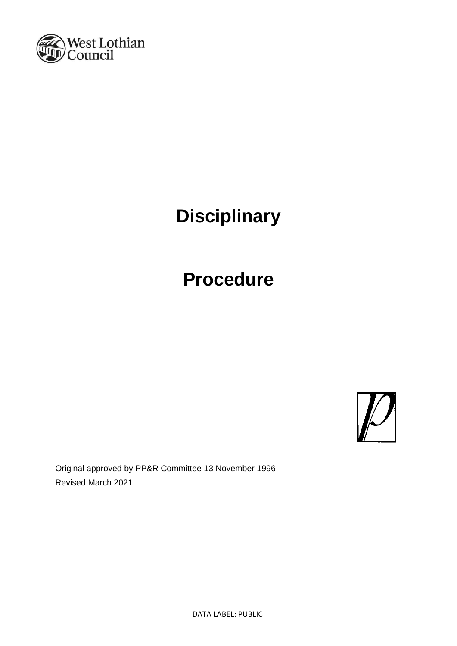

# **Disciplinary**

# **Procedure**



Original approved by PP&R Committee 13 November 1996 Revised March 2021

DATA LABEL: PUBLIC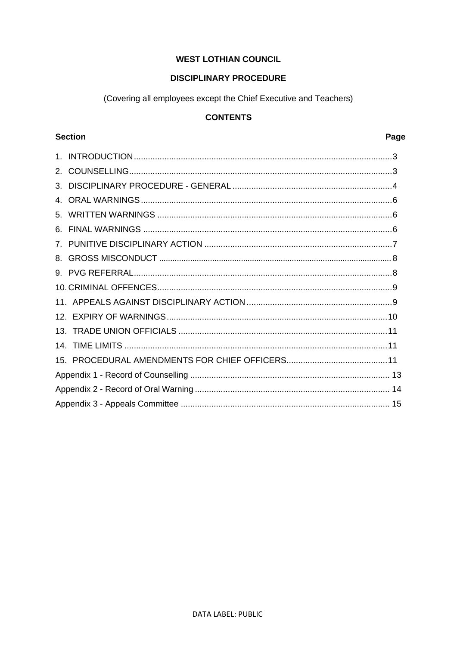# **WEST LOTHIAN COUNCIL**

# **DISCIPLINARY PROCEDURE**

(Covering all employees except the Chief Executive and Teachers)

# **CONTENTS**

# **Section**

# Page

| 3. |  |  |  |
|----|--|--|--|
|    |  |  |  |
|    |  |  |  |
|    |  |  |  |
|    |  |  |  |
|    |  |  |  |
|    |  |  |  |
|    |  |  |  |
|    |  |  |  |
|    |  |  |  |
|    |  |  |  |
|    |  |  |  |
|    |  |  |  |
|    |  |  |  |
|    |  |  |  |
|    |  |  |  |
|    |  |  |  |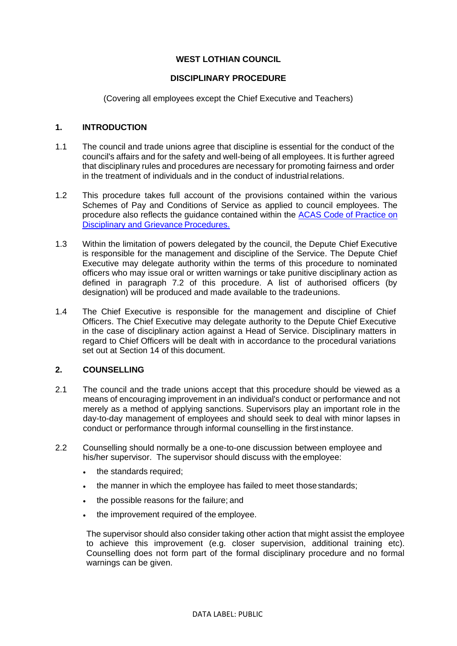# **WEST LOTHIAN COUNCIL**

### **DISCIPLINARY PROCEDURE**

(Covering all employees except the Chief Executive and Teachers)

### <span id="page-2-0"></span>**1. INTRODUCTION**

- 1.1 The council and trade unions agree that discipline is essential for the conduct of the council's affairs and for the safety and well-being of all employees. It is further agreed that disciplinary rules and procedures are necessary for promoting fairness and order in the treatment of individuals and in the conduct of industrial relations.
- 1.2 This procedure takes full account of the provisions contained within the various Schemes of Pay and Conditions of Service as applied to council employees. The procedure also reflects the guidance contained within the [ACAS Code of Practice on](http://www.acas.org.uk/index.aspx?articleid=2174) [Disciplinary and Grievance](http://www.acas.org.uk/index.aspx?articleid=2174) Procedures.
- 1.3 Within the limitation of powers delegated by the council, the Depute Chief Executive is responsible for the management and discipline of the Service. The Depute Chief Executive may delegate authority within the terms of this procedure to nominated officers who may issue oral or written warnings or take punitive disciplinary action as defined in paragraph 7.2 of this procedure. A list of authorised officers (by designation) will be produced and made available to the tradeunions.
- 1.4 The Chief Executive is responsible for the management and discipline of Chief Officers. The Chief Executive may delegate authority to the Depute Chief Executive in the case of disciplinary action against a Head of Service. Disciplinary matters in regard to Chief Officers will be dealt with in accordance to the procedural variations set out at Section 14 of this document.

#### <span id="page-2-1"></span>**2. COUNSELLING**

- 2.1 The council and the trade unions accept that this procedure should be viewed as a means of encouraging improvement in an individual's conduct or performance and not merely as a method of applying sanctions. Supervisors play an important role in the day-to-day management of employees and should seek to deal with minor lapses in conduct or performance through informal counselling in the firstinstance.
- 2.2 Counselling should normally be a one-to-one discussion between employee and his/her supervisor. The supervisor should discuss with the employee:
	- the standards required;
	- the manner in which the employee has failed to meet those standards;
	- the possible reasons for the failure; and
	- the improvement required of the employee.

The supervisor should also consider taking other action that might assist the employee to achieve this improvement (e.g. closer supervision, additional training etc). Counselling does not form part of the formal disciplinary procedure and no formal warnings can be given.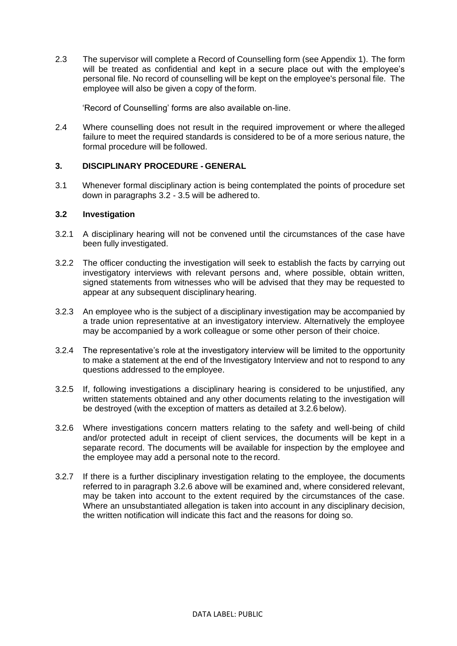2.3 The supervisor will complete a Record of Counselling form (see Appendix 1). The form will be treated as confidential and kept in a secure place out with the employee's personal file. No record of counselling will be kept on the employee's personal file. The employee will also be given a copy of theform.

'Record of Counselling' forms are also available on-line.

2.4 Where counselling does not result in the required improvement or where thealleged failure to meet the required standards is considered to be of a more serious nature, the formal procedure will be followed.

#### <span id="page-3-0"></span>**3. DISCIPLINARY PROCEDURE - GENERAL**

3.1 Whenever formal disciplinary action is being contemplated the points of procedure set down in paragraphs 3.2 - 3.5 will be adhered to.

# **3.2 Investigation**

- 3.2.1 A disciplinary hearing will not be convened until the circumstances of the case have been fully investigated.
- 3.2.2 The officer conducting the investigation will seek to establish the facts by carrying out investigatory interviews with relevant persons and, where possible, obtain written, signed statements from witnesses who will be advised that they may be requested to appear at any subsequent disciplinary hearing.
- 3.2.3 An employee who is the subject of a disciplinary investigation may be accompanied by a trade union representative at an investigatory interview. Alternatively the employee may be accompanied by a work colleague or some other person of their choice.
- 3.2.4 The representative's role at the investigatory interview will be limited to the opportunity to make a statement at the end of the Investigatory Interview and not to respond to any questions addressed to the employee.
- 3.2.5 If, following investigations a disciplinary hearing is considered to be unjustified, any written statements obtained and any other documents relating to the investigation will be destroyed (with the exception of matters as detailed at 3.2.6 below).
- 3.2.6 Where investigations concern matters relating to the safety and well-being of child and/or protected adult in receipt of client services, the documents will be kept in a separate record. The documents will be available for inspection by the employee and the employee may add a personal note to the record.
- 3.2.7 If there is a further disciplinary investigation relating to the employee, the documents referred to in paragraph 3.2.6 above will be examined and, where considered relevant, may be taken into account to the extent required by the circumstances of the case. Where an unsubstantiated allegation is taken into account in any disciplinary decision, the written notification will indicate this fact and the reasons for doing so.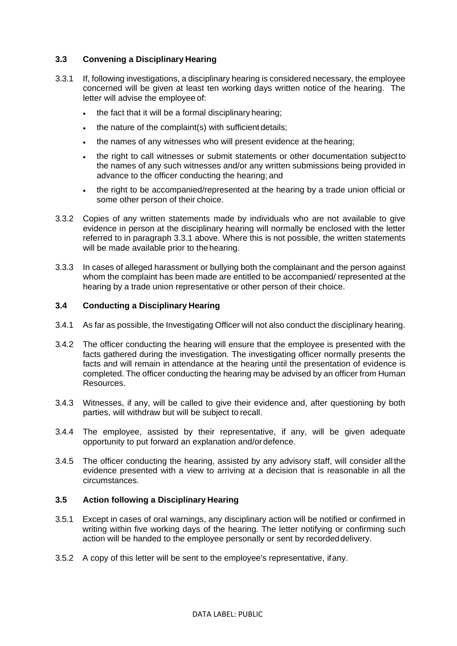# **3.3 Convening a Disciplinary Hearing**

- 3.3.1 If, following investigations, a disciplinary hearing is considered necessary, the employee concerned will be given at least ten working days written notice of the hearing. The letter will advise the employee of:
	- the fact that it will be a formal disciplinary hearing;
	- the nature of the complaint(s) with sufficient details;
	- the names of any witnesses who will present evidence at the hearing;
	- the right to call witnesses or submit statements or other documentation subjectto the names of any such witnesses and/or any written submissions being provided in advance to the officer conducting the hearing; and
	- the right to be accompanied/represented at the hearing by a trade union official or some other person of their choice.
- 3.3.2 Copies of any written statements made by individuals who are not available to give evidence in person at the disciplinary hearing will normally be enclosed with the letter referred to in paragraph 3.3.1 above. Where this is not possible, the written statements will be made available prior to the hearing.
- 3.3.3 In cases of alleged harassment or bullying both the complainant and the person against whom the complaint has been made are entitled to be accompanied/ represented at the hearing by a trade union representative or other person of their choice.

#### **3.4 Conducting a Disciplinary Hearing**

- 3.4.1 As far as possible, the Investigating Officer will not also conduct the disciplinary hearing.
- 3.4.2 The officer conducting the hearing will ensure that the employee is presented with the facts gathered during the investigation. The investigating officer normally presents the facts and will remain in attendance at the hearing until the presentation of evidence is completed. The officer conducting the hearing may be advised by an officer from Human Resources.
- 3.4.3 Witnesses, if any, will be called to give their evidence and, after questioning by both parties, will withdraw but will be subject to recall.
- 3.4.4 The employee, assisted by their representative, if any, will be given adequate opportunity to put forward an explanation and/or defence.
- 3.4.5 The officer conducting the hearing, assisted by any advisory staff, will consider all the evidence presented with a view to arriving at a decision that is reasonable in all the circumstances.

#### **3.5 Action following a Disciplinary Hearing**

- 3.5.1 Except in cases of oral warnings, any disciplinary action will be notified or confirmed in writing within five working days of the hearing. The letter notifying or confirming such action will be handed to the employee personally or sent by recordeddelivery.
- 3.5.2 A copy of this letter will be sent to the employee's representative, ifany.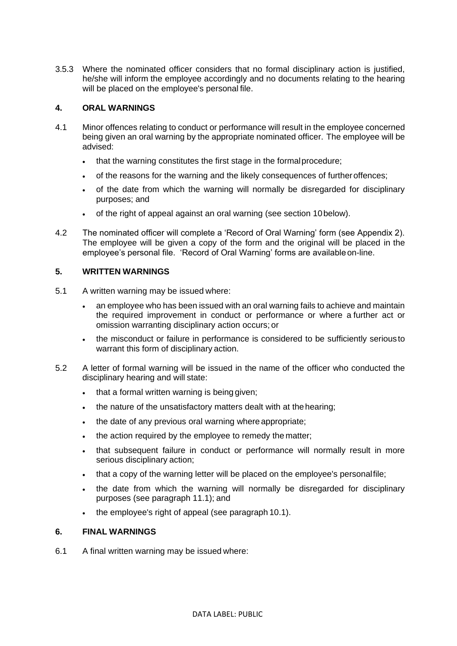3.5.3 Where the nominated officer considers that no formal disciplinary action is justified, he/she will inform the employee accordingly and no documents relating to the hearing will be placed on the employee's personal file.

# <span id="page-5-0"></span>**4. ORAL WARNINGS**

- 4.1 Minor offences relating to conduct or performance will result in the employee concerned being given an oral warning by the appropriate nominated officer. The employee will be advised:
	- that the warning constitutes the first stage in the formalprocedure;
	- of the reasons for the warning and the likely consequences of furtheroffences;
	- of the date from which the warning will normally be disregarded for disciplinary purposes; and
	- of the right of appeal against an oral warning (see section 10below).
- 4.2 The nominated officer will complete a 'Record of Oral Warning' form (see Appendix 2). The employee will be given a copy of the form and the original will be placed in the employee's personal file. 'Record of Oral Warning' forms are availableon-line.

#### <span id="page-5-1"></span>**5. WRITTEN WARNINGS**

- 5.1 A written warning may be issued where:
	- an employee who has been issued with an oral warning fails to achieve and maintain the required improvement in conduct or performance or where a further act or omission warranting disciplinary action occurs; or
	- the misconduct or failure in performance is considered to be sufficiently serious to warrant this form of disciplinary action.
- 5.2 A letter of formal warning will be issued in the name of the officer who conducted the disciplinary hearing and will state:
	- that a formal written warning is being given;
	- the nature of the unsatisfactory matters dealt with at the hearing;
	- the date of any previous oral warning where appropriate;
	- the action required by the employee to remedy the matter;
	- that subsequent failure in conduct or performance will normally result in more serious disciplinary action;
	- that a copy of the warning letter will be placed on the employee's personalfile;
	- the date from which the warning will normally be disregarded for disciplinary purposes (see paragraph 11.1); and
	- the employee's right of appeal (see paragraph 10.1).

#### <span id="page-5-2"></span>**6. FINAL WARNINGS**

6.1 A final written warning may be issued where: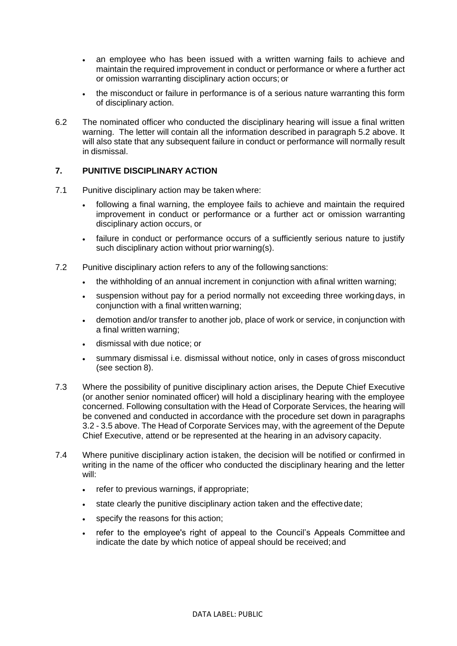- an employee who has been issued with a written warning fails to achieve and maintain the required improvement in conduct or performance or where a further act or omission warranting disciplinary action occurs; or
- the misconduct or failure in performance is of a serious nature warranting this form of disciplinary action.
- 6.2 The nominated officer who conducted the disciplinary hearing will issue a final written warning. The letter will contain all the information described in paragraph 5.2 above. It will also state that any subsequent failure in conduct or performance will normally result in dismissal.

# <span id="page-6-0"></span>**7. PUNITIVE DISCIPLINARY ACTION**

- 7.1 Punitive disciplinary action may be taken where:
	- following a final warning, the employee fails to achieve and maintain the required improvement in conduct or performance or a further act or omission warranting disciplinary action occurs, or
	- failure in conduct or performance occurs of a sufficiently serious nature to justify such disciplinary action without prior warning(s).
- 7.2 Punitive disciplinary action refers to any of the followingsanctions:
	- the withholding of an annual increment in conjunction with afinal written warning;
	- suspension without pay for a period normally not exceeding three working days, in conjunction with a final written warning;
	- demotion and/or transfer to another job, place of work or service, in conjunction with a final written warning;
	- dismissal with due notice; or
	- summary dismissal i.e. dismissal without notice, only in cases of gross misconduct (see section 8).
- 7.3 Where the possibility of punitive disciplinary action arises, the Depute Chief Executive (or another senior nominated officer) will hold a disciplinary hearing with the employee concerned. Following consultation with the Head of Corporate Services, the hearing will be convened and conducted in accordance with the procedure set down in paragraphs 3.2 - 3.5 above. The Head of Corporate Services may, with the agreement of the Depute Chief Executive, attend or be represented at the hearing in an advisory capacity.
- 7.4 Where punitive disciplinary action istaken, the decision will be notified or confirmed in writing in the name of the officer who conducted the disciplinary hearing and the letter will:
	- refer to previous warnings, if appropriate;
	- state clearly the punitive disciplinary action taken and the effectivedate;
	- specify the reasons for this action;
	- refer to the employee's right of appeal to the Council's Appeals Committee and indicate the date by which notice of appeal should be received; and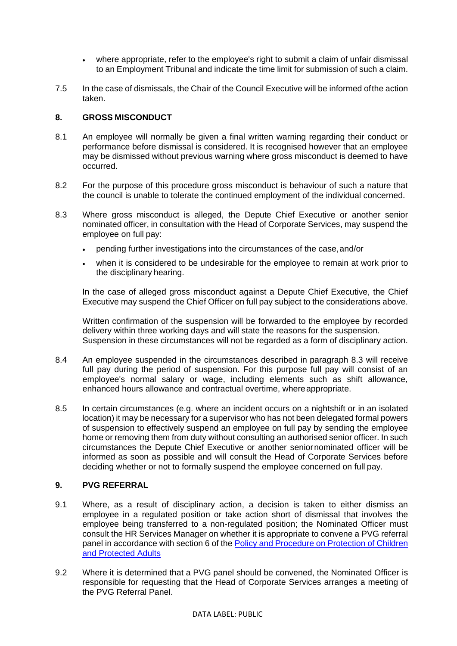- where appropriate, refer to the employee's right to submit a claim of unfair dismissal to an Employment Tribunal and indicate the time limit for submission of such a claim.
- 7.5 In the case of dismissals, the Chair of the Council Executive will be informed ofthe action taken.

# <span id="page-7-0"></span>**8. GROSS MISCONDUCT**

- 8.1 An employee will normally be given a final written warning regarding their conduct or performance before dismissal is considered. It is recognised however that an employee may be dismissed without previous warning where gross misconduct is deemed to have occurred.
- 8.2 For the purpose of this procedure gross misconduct is behaviour of such a nature that the council is unable to tolerate the continued employment of the individual concerned.
- 8.3 Where gross misconduct is alleged, the Depute Chief Executive or another senior nominated officer, in consultation with the Head of Corporate Services, may suspend the employee on full pay:
	- pending further investigations into the circumstances of the case,and/or
	- when it is considered to be undesirable for the employee to remain at work prior to the disciplinary hearing.

In the case of alleged gross misconduct against a Depute Chief Executive, the Chief Executive may suspend the Chief Officer on full pay subject to the considerations above.

Written confirmation of the suspension will be forwarded to the employee by recorded delivery within three working days and will state the reasons for the suspension. Suspension in these circumstances will not be regarded as a form of disciplinary action.

- 8.4 An employee suspended in the circumstances described in paragraph 8.3 will receive full pay during the period of suspension. For this purpose full pay will consist of an employee's normal salary or wage, including elements such as shift allowance, enhanced hours allowance and contractual overtime, whereappropriate.
- 8.5 In certain circumstances (e.g. where an incident occurs on a nightshift or in an isolated location) it may be necessary for a supervisor who has not been delegated formal powers of suspension to effectively suspend an employee on full pay by sending the employee home or removing them from duty without consulting an authorised senior officer. In such circumstances the Depute Chief Executive or another seniornominated officer will be informed as soon as possible and will consult the Head of Corporate Services before deciding whether or not to formally suspend the employee concerned on full pay.

#### **9. PVG REFERRAL**

- 9.1 Where, as a result of disciplinary action, a decision is taken to either dismiss an employee in a regulated position or take action short of dismissal that involves the employee being transferred to a non-regulated position; the Nominated Officer must consult the HR Services Manager on whether it is appropriate to convene a PVG referral panel in accordance with section 6 of the [Policy and Procedure on Protection of Children](https://www.westlothian.gov.uk/media/28452/Policy-and-Procedure-on-the-Protection-of-Children-and-Protected-Adults/pdf/Policy___Procedure_for_the_protection_of_children_and_protected_adults.pdf?m=637140754936770000)  [and Protected Adults](https://www.westlothian.gov.uk/media/28452/Policy-and-Procedure-on-the-Protection-of-Children-and-Protected-Adults/pdf/Policy___Procedure_for_the_protection_of_children_and_protected_adults.pdf?m=637140754936770000)
- 9.2 Where it is determined that a PVG panel should be convened, the Nominated Officer is responsible for requesting that the Head of Corporate Services arranges a meeting of the PVG Referral Panel.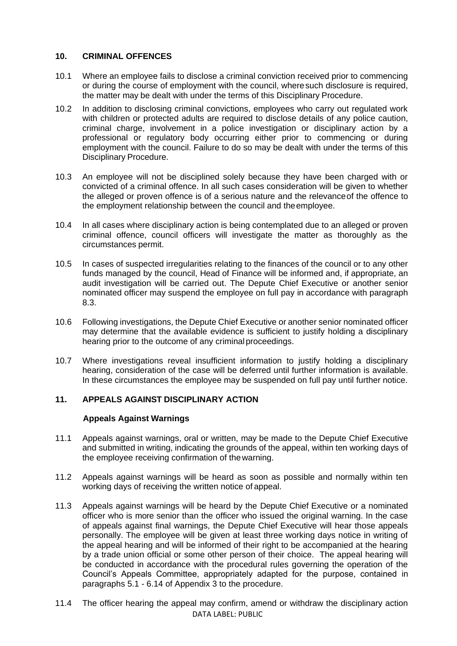#### **10. CRIMINAL OFFENCES**

- 10.1 Where an employee fails to disclose a criminal conviction received prior to commencing or during the course of employment with the council, wheresuch disclosure is required, the matter may be dealt with under the terms of this Disciplinary Procedure.
- 10.2 In addition to disclosing criminal convictions, employees who carry out regulated work with children or protected adults are required to disclose details of any police caution, criminal charge, involvement in a police investigation or disciplinary action by a professional or regulatory body occurring either prior to commencing or during employment with the council. Failure to do so may be dealt with under the terms of this Disciplinary Procedure.
- 10.3 An employee will not be disciplined solely because they have been charged with or convicted of a criminal offence. In all such cases consideration will be given to whether the alleged or proven offence is of a serious nature and the relevanceof the offence to the employment relationship between the council and theemployee.
- 10.4 In all cases where disciplinary action is being contemplated due to an alleged or proven criminal offence, council officers will investigate the matter as thoroughly as the circumstances permit.
- 10.5 In cases of suspected irregularities relating to the finances of the council or to any other funds managed by the council, Head of Finance will be informed and, if appropriate, an audit investigation will be carried out. The Depute Chief Executive or another senior nominated officer may suspend the employee on full pay in accordance with paragraph 8.3.
- 10.6 Following investigations, the Depute Chief Executive or another senior nominated officer may determine that the available evidence is sufficient to justify holding a disciplinary hearing prior to the outcome of any criminal proceedings.
- 10.7 Where investigations reveal insufficient information to justify holding a disciplinary hearing, consideration of the case will be deferred until further information is available. In these circumstances the employee may be suspended on full pay until further notice.

# <span id="page-8-0"></span>**11. APPEALS AGAINST DISCIPLINARY ACTION**

#### **Appeals Against Warnings**

- 11.1 Appeals against warnings, oral or written, may be made to the Depute Chief Executive and submitted in writing, indicating the grounds of the appeal, within ten working days of the employee receiving confirmation of thewarning.
- 11.2 Appeals against warnings will be heard as soon as possible and normally within ten working days of receiving the written notice of appeal.
- 11.3 Appeals against warnings will be heard by the Depute Chief Executive or a nominated officer who is more senior than the officer who issued the original warning. In the case of appeals against final warnings, the Depute Chief Executive will hear those appeals personally. The employee will be given at least three working days notice in writing of the appeal hearing and will be informed of their right to be accompanied at the hearing by a trade union official or some other person of their choice. The appeal hearing will be conducted in accordance with the procedural rules governing the operation of the Council's Appeals Committee, appropriately adapted for the purpose, contained in paragraphs 5.1 - 6.14 of Appendix 3 to the procedure.
- DATA LABEL: PUBLIC 11.4 The officer hearing the appeal may confirm, amend or withdraw the disciplinary action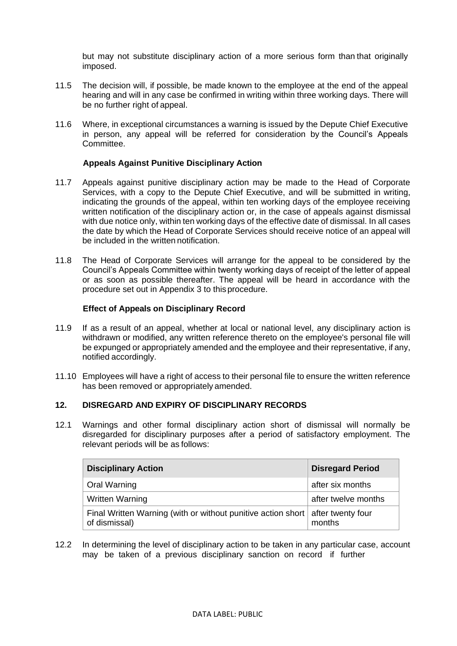but may not substitute disciplinary action of a more serious form than that originally imposed.

- 11.5 The decision will, if possible, be made known to the employee at the end of the appeal hearing and will in any case be confirmed in writing within three working days. There will be no further right of appeal.
- 11.6 Where, in exceptional circumstances a warning is issued by the Depute Chief Executive in person, any appeal will be referred for consideration by the Council's Appeals Committee.

#### **Appeals Against Punitive Disciplinary Action**

- 11.7 Appeals against punitive disciplinary action may be made to the Head of Corporate Services, with a copy to the Depute Chief Executive, and will be submitted in writing, indicating the grounds of the appeal, within ten working days of the employee receiving written notification of the disciplinary action or, in the case of appeals against dismissal with due notice only, within ten working days of the effective date of dismissal. In all cases the date by which the Head of Corporate Services should receive notice of an appeal will be included in the written notification.
- 11.8 The Head of Corporate Services will arrange for the appeal to be considered by the Council's Appeals Committee within twenty working days of receipt of the letter of appeal or as soon as possible thereafter. The appeal will be heard in accordance with the procedure set out in Appendix 3 to thisprocedure.

#### **Effect of Appeals on Disciplinary Record**

- 11.9 If as a result of an appeal, whether at local or national level, any disciplinary action is withdrawn or modified, any written reference thereto on the employee's personal file will be expunged or appropriately amended and the employee and their representative, if any, notified accordingly.
- 11.10 Employees will have a right of access to their personal file to ensure the written reference has been removed or appropriately amended.

#### **12. DISREGARD AND EXPIRY OF DISCIPLINARY RECORDS**

12.1 Warnings and other formal disciplinary action short of dismissal will normally be disregarded for disciplinary purposes after a period of satisfactory employment. The relevant periods will be as follows:

| <b>Disciplinary Action</b>                                                                      | <b>Disregard Period</b> |
|-------------------------------------------------------------------------------------------------|-------------------------|
| <b>Oral Warning</b>                                                                             | after six months        |
| <b>Written Warning</b>                                                                          | after twelve months     |
| Final Written Warning (with or without punitive action short after twenty four<br>of dismissal) | months                  |

12.2 In determining the level of disciplinary action to be taken in any particular case, account may be taken of a previous disciplinary sanction on record if further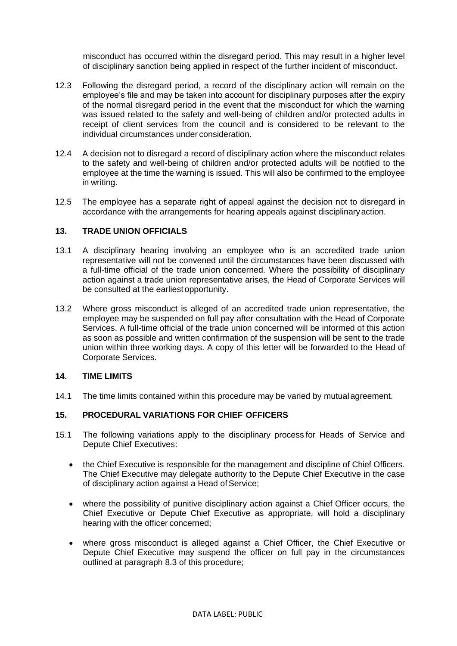misconduct has occurred within the disregard period. This may result in a higher level of disciplinary sanction being applied in respect of the further incident of misconduct.

- 12.3 Following the disregard period, a record of the disciplinary action will remain on the employee's file and may be taken into account for disciplinary purposes after the expiry of the normal disregard period in the event that the misconduct for which the warning was issued related to the safety and well-being of children and/or protected adults in receipt of client services from the council and is considered to be relevant to the individual circumstances under consideration.
- 12.4 A decision not to disregard a record of disciplinary action where the misconduct relates to the safety and well-being of children and/or protected adults will be notified to the employee at the time the warning is issued. This will also be confirmed to the employee in writing.
- 12.5 The employee has a separate right of appeal against the decision not to disregard in accordance with the arrangements for hearing appeals against disciplinaryaction.

#### <span id="page-10-0"></span>**13. TRADE UNION OFFICIALS**

- 13.1 A disciplinary hearing involving an employee who is an accredited trade union representative will not be convened until the circumstances have been discussed with a full-time official of the trade union concerned. Where the possibility of disciplinary action against a trade union representative arises, the Head of Corporate Services will be consulted at the earliest opportunity.
- 13.2 Where gross misconduct is alleged of an accredited trade union representative, the employee may be suspended on full pay after consultation with the Head of Corporate Services. A full-time official of the trade union concerned will be informed of this action as soon as possible and written confirmation of the suspension will be sent to the trade union within three working days. A copy of this letter will be forwarded to the Head of Corporate Services.

#### <span id="page-10-1"></span>**14. TIME LIMITS**

14.1 The time limits contained within this procedure may be varied by mutualagreement.

#### **15. PROCEDURAL VARIATIONS FOR CHIEF OFFICERS**

- 15.1 The following variations apply to the disciplinary process for Heads of Service and Depute Chief Executives:
	- the Chief Executive is responsible for the management and discipline of Chief Officers. The Chief Executive may delegate authority to the Depute Chief Executive in the case of disciplinary action against a Head of Service;
	- where the possibility of punitive disciplinary action against a Chief Officer occurs, the Chief Executive or Depute Chief Executive as appropriate, will hold a disciplinary hearing with the officer concerned;
	- where gross misconduct is alleged against a Chief Officer, the Chief Executive or Depute Chief Executive may suspend the officer on full pay in the circumstances outlined at paragraph 8.3 of this procedure;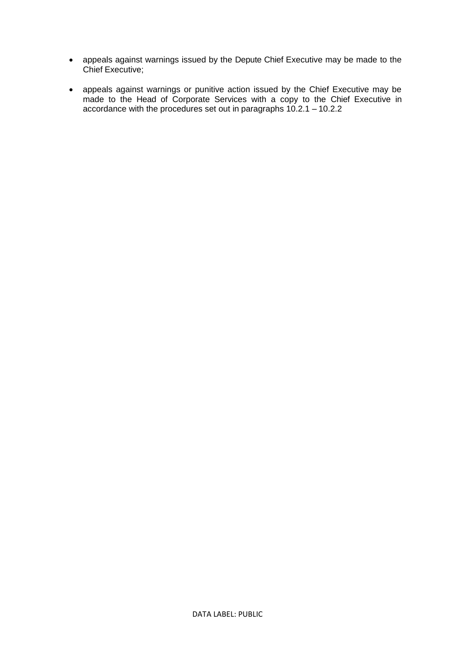- appeals against warnings issued by the Depute Chief Executive may be made to the Chief Executive;
- appeals against warnings or punitive action issued by the Chief Executive may be made to the Head of Corporate Services with a copy to the Chief Executive in accordance with the procedures set out in paragraphs 10.2.1 – 10.2.2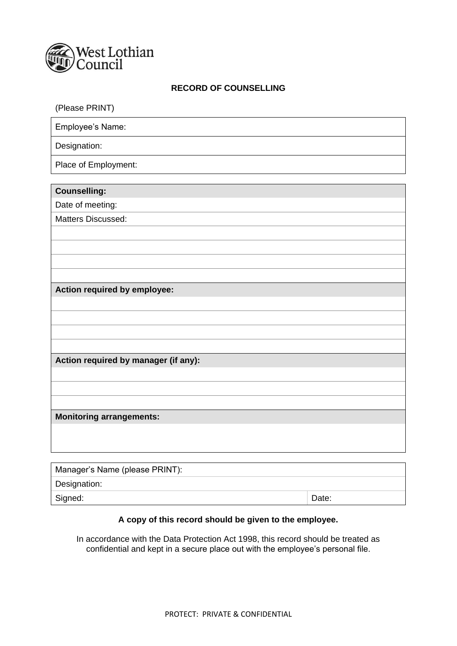

# **RECORD OF COUNSELLING**

| (Please PRINT)                       |
|--------------------------------------|
| Employee's Name:                     |
| Designation:                         |
| Place of Employment:                 |
| <b>Counselling:</b>                  |
| Date of meeting:                     |
| Matters Discussed:                   |
|                                      |
|                                      |
|                                      |
|                                      |
| Action required by employee:         |
|                                      |
|                                      |
|                                      |
|                                      |
| Action required by manager (if any): |
|                                      |
|                                      |
| <b>Monitoring arrangements:</b>      |
|                                      |
|                                      |
|                                      |
| Manager's Name (please PRINT).       |

| Manager's Name (please PRINT): |       |  |  |
|--------------------------------|-------|--|--|
| Designation:                   |       |  |  |
| Signed:                        | Date: |  |  |

# **A copy of this record should be given to the employee.**

In accordance with the Data Protection Act 1998, this record should be treated as confidential and kept in a secure place out with the employee's personal file.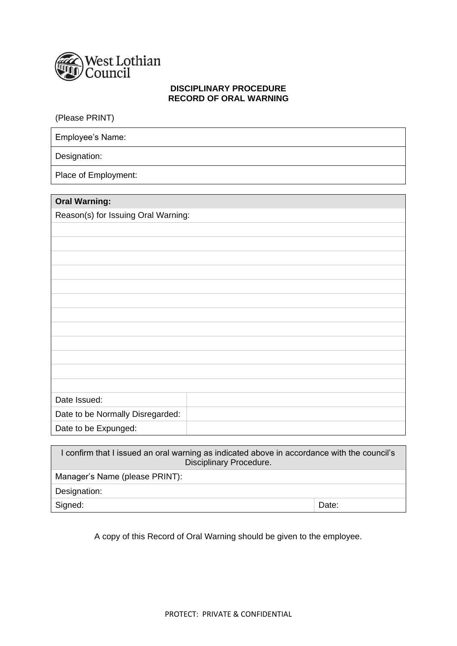

#### **DISCIPLINARY PROCEDURE RECORD OF ORAL WARNING**

(Please PRINT)

Employee's Name:

Designation:

Place of Employment:

| <b>Oral Warning:</b>                |  |  |
|-------------------------------------|--|--|
| Reason(s) for Issuing Oral Warning: |  |  |
|                                     |  |  |

| and manning.                        |  |  |  |  |  |  |
|-------------------------------------|--|--|--|--|--|--|
| Reason(s) for Issuing Oral Warning: |  |  |  |  |  |  |
|                                     |  |  |  |  |  |  |
|                                     |  |  |  |  |  |  |
|                                     |  |  |  |  |  |  |
|                                     |  |  |  |  |  |  |
|                                     |  |  |  |  |  |  |
|                                     |  |  |  |  |  |  |
|                                     |  |  |  |  |  |  |
|                                     |  |  |  |  |  |  |
|                                     |  |  |  |  |  |  |
|                                     |  |  |  |  |  |  |
|                                     |  |  |  |  |  |  |
|                                     |  |  |  |  |  |  |
| Date Issued:                        |  |  |  |  |  |  |
| Date to be Normally Disregarded:    |  |  |  |  |  |  |
| Date to be Expunged:                |  |  |  |  |  |  |

| I confirm that I issued an oral warning as indicated above in accordance with the council's<br>Disciplinary Procedure. |       |  |
|------------------------------------------------------------------------------------------------------------------------|-------|--|
| Manager's Name (please PRINT):                                                                                         |       |  |
| Designation:                                                                                                           |       |  |
| Signed:                                                                                                                | Date: |  |

A copy of this Record of Oral Warning should be given to the employee.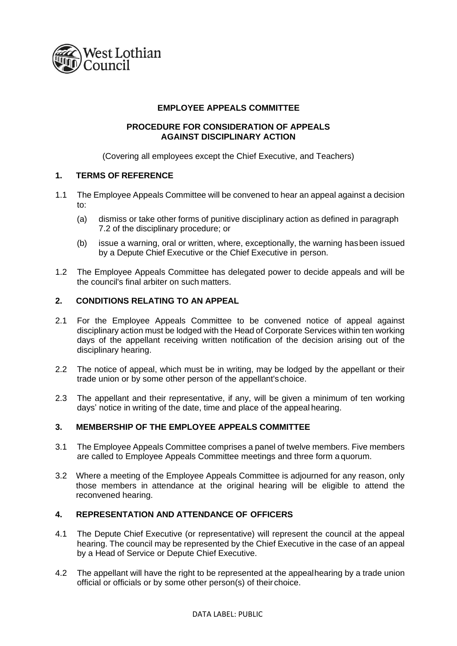

#### **EMPLOYEE APPEALS COMMITTEE**

#### **PROCEDURE FOR CONSIDERATION OF APPEALS AGAINST DISCIPLINARY ACTION**

(Covering all employees except the Chief Executive, and Teachers)

#### **1. TERMS OF REFERENCE**

- 1.1 The Employee Appeals Committee will be convened to hear an appeal against a decision to:
	- (a) dismiss or take other forms of punitive disciplinary action as defined in paragraph 7.2 of the disciplinary procedure; or
	- (b) issue a warning, oral or written, where, exceptionally, the warning hasbeen issued by a Depute Chief Executive or the Chief Executive in person.
- 1.2 The Employee Appeals Committee has delegated power to decide appeals and will be the council's final arbiter on such matters.

#### **2. CONDITIONS RELATING TO AN APPEAL**

- 2.1 For the Employee Appeals Committee to be convened notice of appeal against disciplinary action must be lodged with the Head of Corporate Services within ten working days of the appellant receiving written notification of the decision arising out of the disciplinary hearing.
- 2.2 The notice of appeal, which must be in writing, may be lodged by the appellant or their trade union or by some other person of the appellant's choice.
- 2.3 The appellant and their representative, if any, will be given a minimum of ten working days' notice in writing of the date, time and place of the appeal hearing.

#### **3. MEMBERSHIP OF THE EMPLOYEE APPEALS COMMITTEE**

- 3.1 The Employee Appeals Committee comprises a panel of twelve members. Five members are called to Employee Appeals Committee meetings and three form a quorum.
- 3.2 Where a meeting of the Employee Appeals Committee is adjourned for any reason, only those members in attendance at the original hearing will be eligible to attend the reconvened hearing.

#### **4. REPRESENTATION AND ATTENDANCE OF OFFICERS**

- 4.1 The Depute Chief Executive (or representative) will represent the council at the appeal hearing. The council may be represented by the Chief Executive in the case of an appeal by a Head of Service or Depute Chief Executive.
- 4.2 The appellant will have the right to be represented at the appealhearing by a trade union official or officials or by some other person(s) of their choice.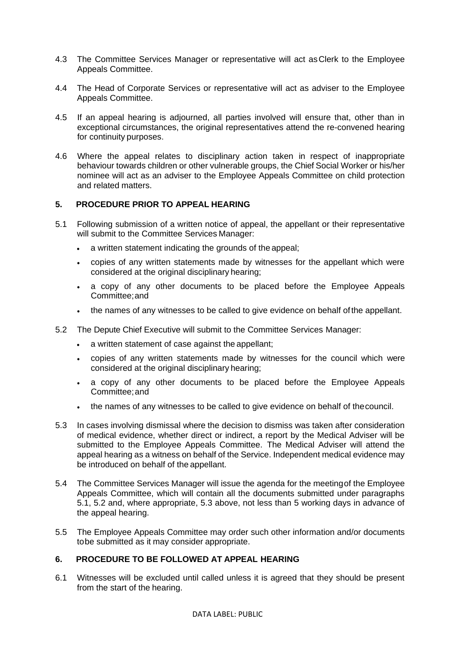- 4.3 The Committee Services Manager or representative will act asClerk to the Employee Appeals Committee.
- 4.4 The Head of Corporate Services or representative will act as adviser to the Employee Appeals Committee.
- 4.5 If an appeal hearing is adjourned, all parties involved will ensure that, other than in exceptional circumstances, the original representatives attend the re-convened hearing for continuity purposes.
- 4.6 Where the appeal relates to disciplinary action taken in respect of inappropriate behaviour towards children or other vulnerable groups, the Chief Social Worker or his/her nominee will act as an adviser to the Employee Appeals Committee on child protection and related matters.

#### **5. PROCEDURE PRIOR TO APPEAL HEARING**

- 5.1 Following submission of a written notice of appeal, the appellant or their representative will submit to the Committee Services Manager:
	- a written statement indicating the grounds of the appeal;
	- copies of any written statements made by witnesses for the appellant which were considered at the original disciplinary hearing;
	- a copy of any other documents to be placed before the Employee Appeals Committee;and
	- the names of any witnesses to be called to give evidence on behalf ofthe appellant.
- 5.2 The Depute Chief Executive will submit to the Committee Services Manager:
	- a written statement of case against the appellant;
	- copies of any written statements made by witnesses for the council which were considered at the original disciplinary hearing;
	- a copy of any other documents to be placed before the Employee Appeals Committee;and
	- the names of any witnesses to be called to give evidence on behalf of thecouncil.
- 5.3 In cases involving dismissal where the decision to dismiss was taken after consideration of medical evidence, whether direct or indirect, a report by the Medical Adviser will be submitted to the Employee Appeals Committee. The Medical Adviser will attend the appeal hearing as a witness on behalf of the Service. Independent medical evidence may be introduced on behalf of the appellant.
- 5.4 The Committee Services Manager will issue the agenda for the meetingof the Employee Appeals Committee, which will contain all the documents submitted under paragraphs 5.1, 5.2 and, where appropriate, 5.3 above, not less than 5 working days in advance of the appeal hearing.
- 5.5 The Employee Appeals Committee may order such other information and/or documents tobe submitted as it may consider appropriate.

# **6. PROCEDURE TO BE FOLLOWED AT APPEAL HEARING**

6.1 Witnesses will be excluded until called unless it is agreed that they should be present from the start of the hearing.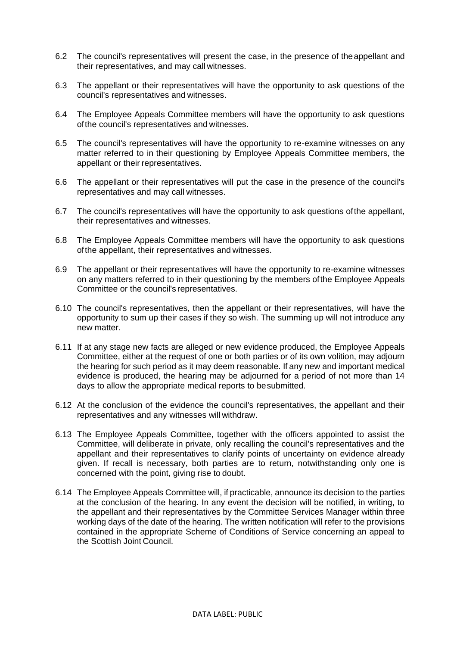- 6.2 The council's representatives will present the case, in the presence of theappellant and their representatives, and may call witnesses.
- 6.3 The appellant or their representatives will have the opportunity to ask questions of the council's representatives and witnesses.
- 6.4 The Employee Appeals Committee members will have the opportunity to ask questions ofthe council's representatives and witnesses.
- 6.5 The council's representatives will have the opportunity to re-examine witnesses on any matter referred to in their questioning by Employee Appeals Committee members, the appellant or their representatives.
- 6.6 The appellant or their representatives will put the case in the presence of the council's representatives and may call witnesses.
- 6.7 The council's representatives will have the opportunity to ask questions ofthe appellant, their representatives and witnesses.
- 6.8 The Employee Appeals Committee members will have the opportunity to ask questions ofthe appellant, their representatives and witnesses.
- 6.9 The appellant or their representatives will have the opportunity to re-examine witnesses on any matters referred to in their questioning by the members ofthe Employee Appeals Committee or the council's representatives.
- 6.10 The council's representatives, then the appellant or their representatives, will have the opportunity to sum up their cases if they so wish. The summing up will not introduce any new matter.
- 6.11 If at any stage new facts are alleged or new evidence produced, the Employee Appeals Committee, either at the request of one or both parties or of its own volition, may adjourn the hearing for such period as it may deem reasonable. If any new and important medical evidence is produced, the hearing may be adjourned for a period of not more than 14 days to allow the appropriate medical reports to besubmitted.
- 6.12 At the conclusion of the evidence the council's representatives, the appellant and their representatives and any witnesses will withdraw.
- 6.13 The Employee Appeals Committee, together with the officers appointed to assist the Committee, will deliberate in private, only recalling the council's representatives and the appellant and their representatives to clarify points of uncertainty on evidence already given. If recall is necessary, both parties are to return, notwithstanding only one is concerned with the point, giving rise to doubt.
- 6.14 The Employee Appeals Committee will, if practicable, announce its decision to the parties at the conclusion of the hearing. In any event the decision will be notified, in writing, to the appellant and their representatives by the Committee Services Manager within three working days of the date of the hearing. The written notification will refer to the provisions contained in the appropriate Scheme of Conditions of Service concerning an appeal to the Scottish Joint Council.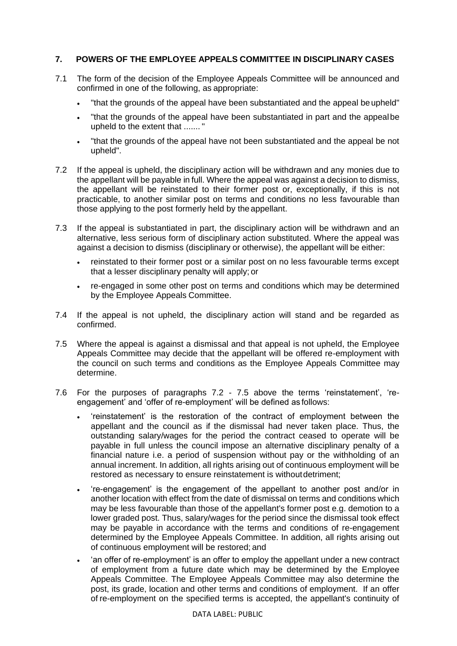# **7. POWERS OF THE EMPLOYEE APPEALS COMMITTEE IN DISCIPLINARY CASES**

- 7.1 The form of the decision of the Employee Appeals Committee will be announced and confirmed in one of the following, as appropriate:
	- "that the grounds of the appeal have been substantiated and the appeal beupheld"
	- "that the grounds of the appeal have been substantiated in part and the appealbe upheld to the extent that ....... "
	- "that the grounds of the appeal have not been substantiated and the appeal be not upheld".
- 7.2 If the appeal is upheld, the disciplinary action will be withdrawn and any monies due to the appellant will be payable in full. Where the appeal was against a decision to dismiss, the appellant will be reinstated to their former post or, exceptionally, if this is not practicable, to another similar post on terms and conditions no less favourable than those applying to the post formerly held by the appellant.
- 7.3 If the appeal is substantiated in part, the disciplinary action will be withdrawn and an alternative, less serious form of disciplinary action substituted. Where the appeal was against a decision to dismiss (disciplinary or otherwise), the appellant will be either:
	- reinstated to their former post or a similar post on no less favourable terms except that a lesser disciplinary penalty will apply; or
	- re-engaged in some other post on terms and conditions which may be determined by the Employee Appeals Committee.
- 7.4 If the appeal is not upheld, the disciplinary action will stand and be regarded as confirmed.
- 7.5 Where the appeal is against a dismissal and that appeal is not upheld, the Employee Appeals Committee may decide that the appellant will be offered re-employment with the council on such terms and conditions as the Employee Appeals Committee may determine.
- 7.6 For the purposes of paragraphs 7.2 7.5 above the terms 'reinstatement', 'reengagement' and 'offer of re-employment' will be defined as follows:
	- 'reinstatement' is the restoration of the contract of employment between the appellant and the council as if the dismissal had never taken place. Thus, the outstanding salary/wages for the period the contract ceased to operate will be payable in full unless the council impose an alternative disciplinary penalty of a financial nature i.e. a period of suspension without pay or the withholding of an annual increment. In addition, all rights arising out of continuous employment will be restored as necessary to ensure reinstatement is without detriment;
	- 're-engagement' is the engagement of the appellant to another post and/or in another location with effect from the date of dismissal on terms and conditions which may be less favourable than those of the appellant's former post e.g. demotion to a lower graded post. Thus, salary/wages for the period since the dismissal took effect may be payable in accordance with the terms and conditions of re-engagement determined by the Employee Appeals Committee. In addition, all rights arising out of continuous employment will be restored; and
	- 'an offer of re-employment' is an offer to employ the appellant under a new contract of employment from a future date which may be determined by the Employee Appeals Committee. The Employee Appeals Committee may also determine the post, its grade, location and other terms and conditions of employment. If an offer of re-employment on the specified terms is accepted, the appellant's continuity of